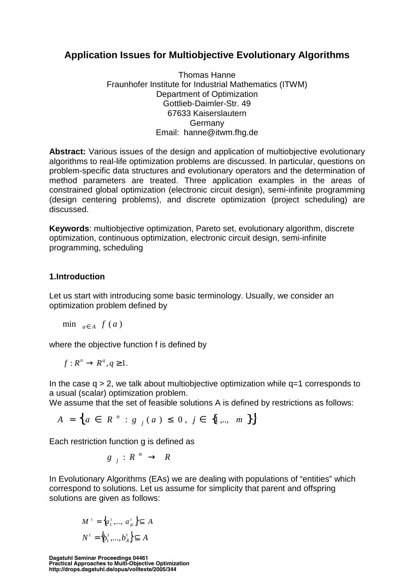# **Application Issues for Multiobjective Evolutionary Algorithms**

Thomas Hanne Fraunhofer Institute for Industrial Mathematics (ITWM) Department of Optimization Gottlieb-Daimler-Str. 49 67633 Kaiserslautern Germany Email: hanne@itwm.fhg.de

**Abstract:** Various issues of the design and application of multiobjective evolutionary algorithms to real-life optimization problems are discussed. In particular, questions on problem-specific data structures and evolutionary operators and the determination of method parameters are treated. Three application examples in the areas of constrained global optimization (electronic circuit design), semi-infinite programming (design centering problems), and discrete optimization (project scheduling) are discussed.

**Keywords**: multiobjective optimization, Pareto set, evolutionary algorithm, discrete optimization, continuous optimization, electronic circuit design, semi-infinite programming, scheduling

# **1.Introduction**

Let us start with introducing some basic terminology. Usually, we consider an optimization problem defined by

$$
\min_{a \in A} f(a)
$$

where the objective function f is defined by

$$
f: R^n \to R^q, q \ge 1.
$$

In the case  $q > 2$ , we talk about multiobjective optimization while  $q=1$  corresponds to a usual (scalar) optimization problem.

We assume that the set of feasible solutions A is defined by restrictions as follows:

$$
A = \left\{ a \in R^{n} : g_{j}(a) \leq 0, j \in \{1, ..., m\} \right\}
$$

Each restriction function g is defined as

$$
g_j: R^n \to R
$$

In Evolutionary Algorithms (EAs) we are dealing with populations of "entities" which correspond to solutions. Let us assume for simplicity that parent and offspring solutions are given as follows:

$$
M' = \left\{ a'_1, \dots, a'_\mu \right\} \subseteq A
$$
  

$$
N' = \left\{ b'_1, \dots, b'_\lambda \right\} \subseteq A
$$

**Dagstuhl Seminar Proceedings 04461 Practical Approaches to Multi-Objective Optimization http://drops.dagstuhl.de/opus/volltexte/2005/344**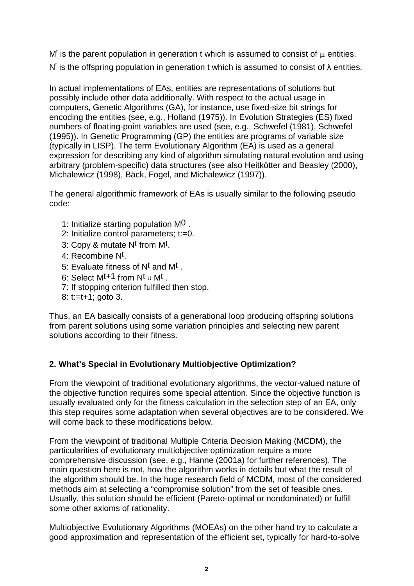M<sup>t</sup> is the parent population in generation t which is assumed to consist of  $\mu$  entities. N<sup>t</sup> is the offspring population in generation t which is assumed to consist of  $\lambda$  entities.

In actual implementations of EAs, entities are representations of solutions but possibly include other data additionally. With respect to the actual usage in computers, Genetic Algorithms (GA), for instance, use fixed-size bit strings for encoding the entities (see, e.g., Holland (1975)). In Evolution Strategies (ES) fixed numbers of floating-point variables are used (see, e.g., Schwefel (1981), Schwefel (1995)). In Genetic Programming (GP) the entities are programs of variable size (typically in LISP). The term Evolutionary Algorithm (EA) is used as a general expression for describing any kind of algorithm simulating natural evolution and using arbitrary (problem-specific) data structures (see also Heitkötter and Beasley (2000), Michalewicz (1998), Bäck, Fogel, and Michalewicz (1997)).

The general algorithmic framework of EAs is usually similar to the following pseudo code:

- 1: Initialize starting population M0 .
- 2: Initialize control parameters; t:=0.
- 3: Copy & mutate Nt from Mt.
- 4: Recombine Nt.
- 5: Evaluate fitness of Nt and Mt .
- 6: Select  $M^{t+1}$  from  $N^t \cup M^t$ .
- 7: If stopping criterion fulfilled then stop.
- 8: t:=t+1; goto 3.

Thus, an EA basically consists of a generational loop producing offspring solutions from parent solutions using some variation principles and selecting new parent solutions according to their fitness.

# **2. What's Special in Evolutionary Multiobjective Optimization?**

From the viewpoint of traditional evolutionary algorithms, the vector-valued nature of the objective function requires some special attention. Since the objective function is usually evaluated only for the fitness calculation in the selection step of an EA, only this step requires some adaptation when several objectives are to be considered. We will come back to these modifications below.

From the viewpoint of traditional Multiple Criteria Decision Making (MCDM), the particularities of evolutionary multiobjective optimization require a more comprehensive discussion (see, e.g., Hanne (2001a) for further references). The main question here is not, how the algorithm works in details but what the result of the algorithm should be. In the huge research field of MCDM, most of the considered methods aim at selecting a "compromise solution" from the set of feasible ones. Usually, this solution should be efficient (Pareto-optimal or nondominated) or fulfill some other axioms of rationality.

Multiobjective Evolutionary Algorithms (MOEAs) on the other hand try to calculate a good approximation and representation of the efficient set, typically for hard-to-solve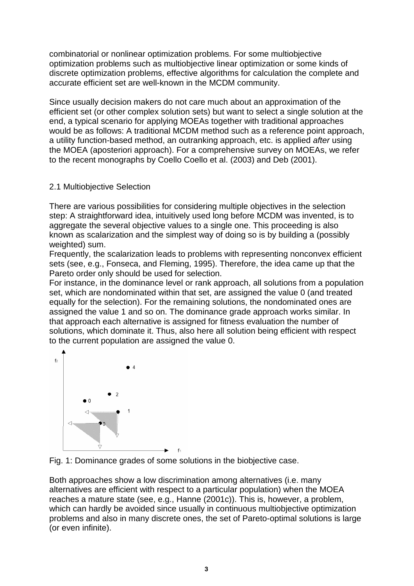combinatorial or nonlinear optimization problems. For some multiobjective optimization problems such as multiobjective linear optimization or some kinds of discrete optimization problems, effective algorithms for calculation the complete and accurate efficient set are well-known in the MCDM community.

Since usually decision makers do not care much about an approximation of the efficient set (or other complex solution sets) but want to select a single solution at the end, a typical scenario for applying MOEAs together with traditional approaches would be as follows: A traditional MCDM method such as a reference point approach, a utility function-based method, an outranking approach, etc. is applied after using the MOEA (aposteriori approach). For a comprehensive survey on MOEAs, we refer to the recent monographs by Coello Coello et al. (2003) and Deb (2001).

# 2.1 Multiobjective Selection

There are various possibilities for considering multiple objectives in the selection step: A straightforward idea, intuitively used long before MCDM was invented, is to aggregate the several objective values to a single one. This proceeding is also known as scalarization and the simplest way of doing so is by building a (possibly weighted) sum.

Frequently, the scalarization leads to problems with representing nonconvex efficient sets (see, e.g., Fonseca, and Fleming, 1995). Therefore, the idea came up that the Pareto order only should be used for selection.

For instance, in the dominance level or rank approach, all solutions from a population set, which are nondominated within that set, are assigned the value 0 (and treated equally for the selection). For the remaining solutions, the nondominated ones are assigned the value 1 and so on. The dominance grade approach works similar. In that approach each alternative is assigned for fitness evaluation the number of solutions, which dominate it. Thus, also here all solution being efficient with respect to the current population are assigned the value 0.



Fig. 1: Dominance grades of some solutions in the biobjective case.

Both approaches show a low discrimination among alternatives (i.e. many alternatives are efficient with respect to a particular population) when the MOEA reaches a mature state (see, e.g., Hanne (2001c)). This is, however, a problem, which can hardly be avoided since usually in continuous multiobjective optimization problems and also in many discrete ones, the set of Pareto-optimal solutions is large (or even infinite).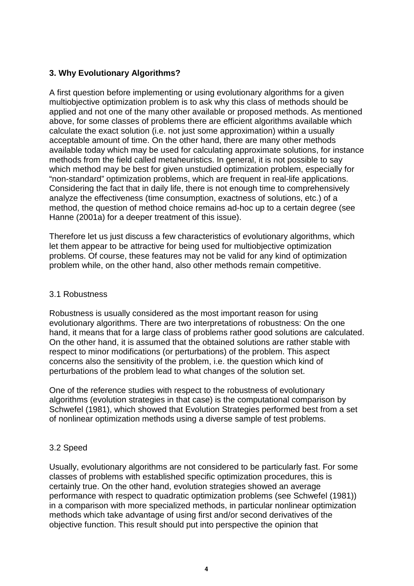# **3. Why Evolutionary Algorithms?**

A first question before implementing or using evolutionary algorithms for a given multiobjective optimization problem is to ask why this class of methods should be applied and not one of the many other available or proposed methods. As mentioned above, for some classes of problems there are efficient algorithms available which calculate the exact solution (i.e. not just some approximation) within a usually acceptable amount of time. On the other hand, there are many other methods available today which may be used for calculating approximate solutions, for instance methods from the field called metaheuristics. In general, it is not possible to say which method may be best for given unstudied optimization problem, especially for "non-standard" optimization problems, which are frequent in real-life applications. Considering the fact that in daily life, there is not enough time to comprehensively analyze the effectiveness (time consumption, exactness of solutions, etc.) of a method, the question of method choice remains ad-hoc up to a certain degree (see Hanne (2001a) for a deeper treatment of this issue).

Therefore let us just discuss a few characteristics of evolutionary algorithms, which let them appear to be attractive for being used for multiobjective optimization problems. Of course, these features may not be valid for any kind of optimization problem while, on the other hand, also other methods remain competitive.

#### 3.1 Robustness

Robustness is usually considered as the most important reason for using evolutionary algorithms. There are two interpretations of robustness: On the one hand, it means that for a large class of problems rather good solutions are calculated. On the other hand, it is assumed that the obtained solutions are rather stable with respect to minor modifications (or perturbations) of the problem. This aspect concerns also the sensitivity of the problem, i.e. the question which kind of perturbations of the problem lead to what changes of the solution set.

One of the reference studies with respect to the robustness of evolutionary algorithms (evolution strategies in that case) is the computational comparison by Schwefel (1981), which showed that Evolution Strategies performed best from a set of nonlinear optimization methods using a diverse sample of test problems.

# 3.2 Speed

Usually, evolutionary algorithms are not considered to be particularly fast. For some classes of problems with established specific optimization procedures, this is certainly true. On the other hand, evolution strategies showed an average performance with respect to quadratic optimization problems (see Schwefel (1981)) in a comparison with more specialized methods, in particular nonlinear optimization methods which take advantage of using first and/or second derivatives of the objective function. This result should put into perspective the opinion that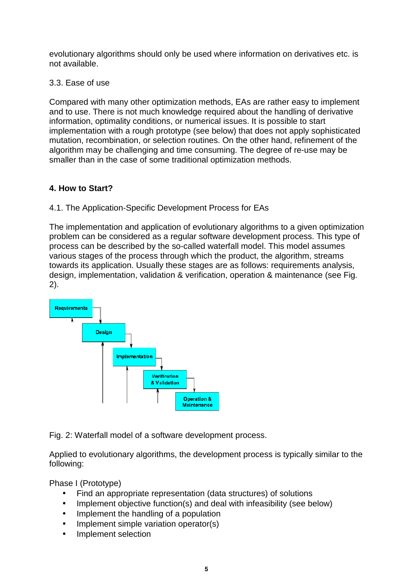evolutionary algorithms should only be used where information on derivatives etc. is not available.

3.3. Ease of use

Compared with many other optimization methods, EAs are rather easy to implement and to use. There is not much knowledge required about the handling of derivative information, optimality conditions, or numerical issues. It is possible to start implementation with a rough prototype (see below) that does not apply sophisticated mutation, recombination, or selection routines. On the other hand, refinement of the algorithm may be challenging and time consuming. The degree of re-use may be smaller than in the case of some traditional optimization methods.

# **4. How to Start?**

# 4.1. The Application-Specific Development Process for EAs

The implementation and application of evolutionary algorithms to a given optimization problem can be considered as a regular software development process. This type of process can be described by the so-called waterfall model. This model assumes various stages of the process through which the product, the algorithm, streams towards its application. Usually these stages are as follows: requirements analysis, design, implementation, validation & verification, operation & maintenance (see Fig. 2).



Fig. 2: Waterfall model of a software development process.

Applied to evolutionary algorithms, the development process is typically similar to the following:

Phase I (Prototype)

- Find an appropriate representation (data structures) of solutions
- Implement objective function(s) and deal with infeasibility (see below)
- Implement the handling of a population
- Implement simple variation operator(s)
- Implement selection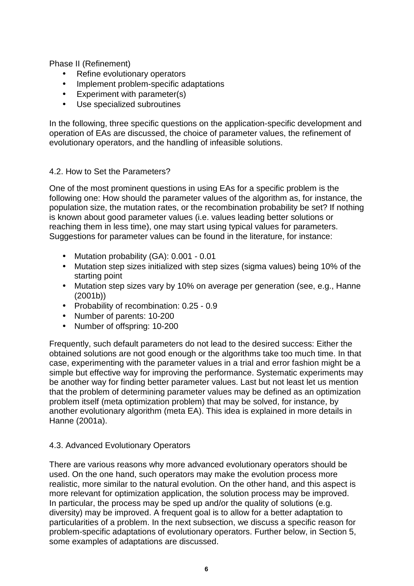Phase II (Refinement)

- Refine evolutionary operators
- Implement problem-specific adaptations
- Experiment with parameter(s)
- Use specialized subroutines

In the following, three specific questions on the application-specific development and operation of EAs are discussed, the choice of parameter values, the refinement of evolutionary operators, and the handling of infeasible solutions.

#### 4.2. How to Set the Parameters?

One of the most prominent questions in using EAs for a specific problem is the following one: How should the parameter values of the algorithm as, for instance, the population size, the mutation rates, or the recombination probability be set? If nothing is known about good parameter values (i.e. values leading better solutions or reaching them in less time), one may start using typical values for parameters. Suggestions for parameter values can be found in the literature, for instance:

- Mutation probability (GA): 0.001 0.01
- Mutation step sizes initialized with step sizes (sigma values) being 10% of the starting point
- Mutation step sizes vary by 10% on average per generation (see, e.g., Hanne (2001b))
- Probability of recombination: 0.25 0.9
- Number of parents: 10-200
- Number of offspring: 10-200

Frequently, such default parameters do not lead to the desired success: Either the obtained solutions are not good enough or the algorithms take too much time. In that case, experimenting with the parameter values in a trial and error fashion might be a simple but effective way for improving the performance. Systematic experiments may be another way for finding better parameter values. Last but not least let us mention that the problem of determining parameter values may be defined as an optimization problem itself (meta optimization problem) that may be solved, for instance, by another evolutionary algorithm (meta EA). This idea is explained in more details in Hanne (2001a).

#### 4.3. Advanced Evolutionary Operators

There are various reasons why more advanced evolutionary operators should be used. On the one hand, such operators may make the evolution process more realistic, more similar to the natural evolution. On the other hand, and this aspect is more relevant for optimization application, the solution process may be improved. In particular, the process may be sped up and/or the quality of solutions (e.g. diversity) may be improved. A frequent goal is to allow for a better adaptation to particularities of a problem. In the next subsection, we discuss a specific reason for problem-specific adaptations of evolutionary operators. Further below, in Section 5, some examples of adaptations are discussed.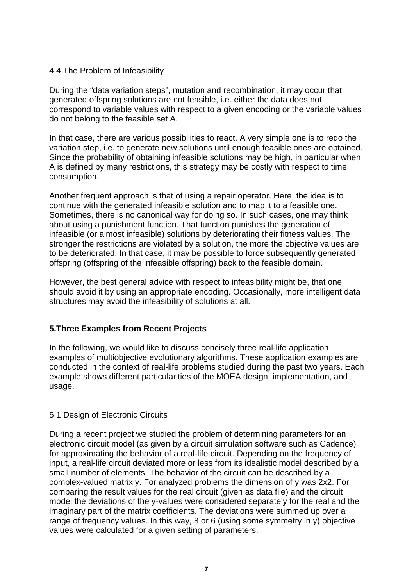#### 4.4 The Problem of Infeasibility

During the "data variation steps", mutation and recombination, it may occur that generated offspring solutions are not feasible, i.e. either the data does not correspond to variable values with respect to a given encoding or the variable values do not belong to the feasible set A.

In that case, there are various possibilities to react. A very simple one is to redo the variation step, i.e. to generate new solutions until enough feasible ones are obtained. Since the probability of obtaining infeasible solutions may be high, in particular when A is defined by many restrictions, this strategy may be costly with respect to time consumption.

Another frequent approach is that of using a repair operator. Here, the idea is to continue with the generated infeasible solution and to map it to a feasible one. Sometimes, there is no canonical way for doing so. In such cases, one may think about using a punishment function. That function punishes the generation of infeasible (or almost infeasible) solutions by deteriorating their fitness values. The stronger the restrictions are violated by a solution, the more the objective values are to be deteriorated. In that case, it may be possible to force subsequently generated offspring (offspring of the infeasible offspring) back to the feasible domain.

However, the best general advice with respect to infeasibility might be, that one should avoid it by using an appropriate encoding. Occasionally, more intelligent data structures may avoid the infeasibility of solutions at all.

# **5.Three Examples from Recent Projects**

In the following, we would like to discuss concisely three real-life application examples of multiobjective evolutionary algorithms. These application examples are conducted in the context of real-life problems studied during the past two years. Each example shows different particularities of the MOEA design, implementation, and usage.

#### 5.1 Design of Electronic Circuits

During a recent project we studied the problem of determining parameters for an electronic circuit model (as given by a circuit simulation software such as Cadence) for approximating the behavior of a real-life circuit. Depending on the frequency of input, a real-life circuit deviated more or less from its idealistic model described by a small number of elements. The behavior of the circuit can be described by a complex-valued matrix y. For analyzed problems the dimension of y was 2x2. For comparing the result values for the real circuit (given as data file) and the circuit model the deviations of the y-values were considered separately for the real and the imaginary part of the matrix coefficients. The deviations were summed up over a range of frequency values. In this way, 8 or 6 (using some symmetry in y) objective values were calculated for a given setting of parameters.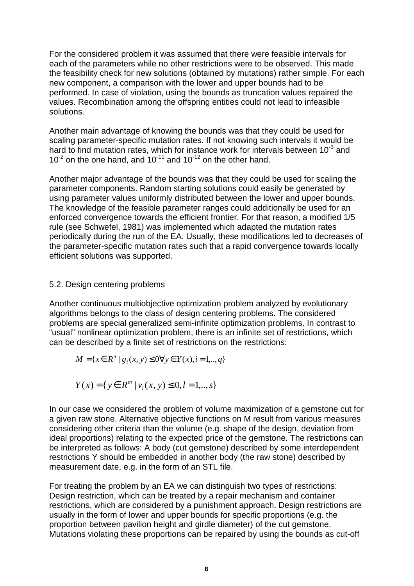For the considered problem it was assumed that there were feasible intervals for each of the parameters while no other restrictions were to be observed. This made the feasibility check for new solutions (obtained by mutations) rather simple. For each new component, a comparison with the lower and upper bounds had to be performed. In case of violation, using the bounds as truncation values repaired the values. Recombination among the offspring entities could not lead to infeasible solutions.

Another main advantage of knowing the bounds was that they could be used for scaling parameter-specific mutation rates. If not knowing such intervals it would be hard to find mutation rates, which for instance work for intervals between 10 $3$  and  $10^{-2}$  on the one hand, and  $10^{-11}$  and  $10^{-12}$  on the other hand.

Another major advantage of the bounds was that they could be used for scaling the parameter components. Random starting solutions could easily be generated by using parameter values uniformly distributed between the lower and upper bounds. The knowledge of the feasible parameter ranges could additionally be used for an enforced convergence towards the efficient frontier. For that reason, a modified 1/5 rule (see Schwefel, 1981) was implemented which adapted the mutation rates periodically during the run of the EA. Usually, these modifications led to decreases of the parameter-specific mutation rates such that a rapid convergence towards locally efficient solutions was supported.

#### 5.2. Design centering problems

Another continuous multiobjective optimization problem analyzed by evolutionary algorithms belongs to the class of design centering problems. The considered problems are special generalized semi-infinite optimization problems. In contrast to "usual" nonlinear optimization problem, there is an infinite set of restrictions, which can be described by a finite set of restrictions on the restrictions:

$$
M = \{ x \in R^n \mid g_i(x, y) \le 0 \forall y \in Y(x), i = 1, ..., q \}
$$

$$
Y(x) = \{ y \in R^m \mid v_i(x, y) \le 0, l = 1, ..., s \}
$$

In our case we considered the problem of volume maximization of a gemstone cut for a given raw stone. Alternative objective functions on M result from various measures considering other criteria than the volume (e.g. shape of the design, deviation from ideal proportions) relating to the expected price of the gemstone. The restrictions can be interpreted as follows: A body (cut gemstone) described by some interdependent restrictions Y should be embedded in another body (the raw stone) described by measurement date, e.g. in the form of an STL file.

For treating the problem by an EA we can distinguish two types of restrictions: Design restriction, which can be treated by a repair mechanism and container restrictions, which are considered by a punishment approach. Design restrictions are usually in the form of lower and upper bounds for specific proportions (e.g. the proportion between pavilion height and girdle diameter) of the cut gemstone. Mutations violating these proportions can be repaired by using the bounds as cut-off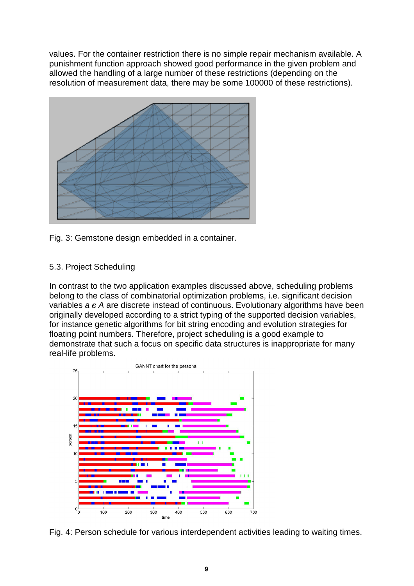values. For the container restriction there is no simple repair mechanism available. A punishment function approach showed good performance in the given problem and allowed the handling of a large number of these restrictions (depending on the resolution of measurement data, there may be some 100000 of these restrictions).



Fig. 3: Gemstone design embedded in a container.

#### 5.3. Project Scheduling

In contrast to the two application examples discussed above, scheduling problems belong to the class of combinatorial optimization problems, i.e. significant decision variables  $a \in A$  are discrete instead of continuous. Evolutionary algorithms have been originally developed according to a strict typing of the supported decision variables, for instance genetic algorithms for bit string encoding and evolution strategies for floating point numbers. Therefore, project scheduling is a good example to demonstrate that such a focus on specific data structures is inappropriate for many real-life problems.



Fig. 4: Person schedule for various interdependent activities leading to waiting times.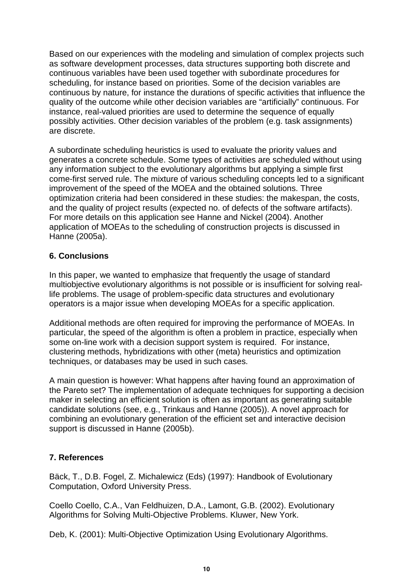Based on our experiences with the modeling and simulation of complex projects such as software development processes, data structures supporting both discrete and continuous variables have been used together with subordinate procedures for scheduling, for instance based on priorities. Some of the decision variables are continuous by nature, for instance the durations of specific activities that influence the quality of the outcome while other decision variables are "artificially" continuous. For instance, real-valued priorities are used to determine the sequence of equally possibly activities. Other decision variables of the problem (e.g. task assignments) are discrete.

A subordinate scheduling heuristics is used to evaluate the priority values and generates a concrete schedule. Some types of activities are scheduled without using any information subject to the evolutionary algorithms but applying a simple first come-first served rule. The mixture of various scheduling concepts led to a significant improvement of the speed of the MOEA and the obtained solutions. Three optimization criteria had been considered in these studies: the makespan, the costs, and the quality of project results (expected no. of defects of the software artifacts). For more details on this application see Hanne and Nickel (2004). Another application of MOEAs to the scheduling of construction projects is discussed in Hanne (2005a).

# **6. Conclusions**

In this paper, we wanted to emphasize that frequently the usage of standard multiobjective evolutionary algorithms is not possible or is insufficient for solving reallife problems. The usage of problem-specific data structures and evolutionary operators is a major issue when developing MOEAs for a specific application.

Additional methods are often required for improving the performance of MOEAs. In particular, the speed of the algorithm is often a problem in practice, especially when some on-line work with a decision support system is required. For instance, clustering methods, hybridizations with other (meta) heuristics and optimization techniques, or databases may be used in such cases.

A main question is however: What happens after having found an approximation of the Pareto set? The implementation of adequate techniques for supporting a decision maker in selecting an efficient solution is often as important as generating suitable candidate solutions (see, e.g., Trinkaus and Hanne (2005)). A novel approach for combining an evolutionary generation of the efficient set and interactive decision support is discussed in Hanne (2005b).

# **7. References**

Bäck, T., D.B. Fogel, Z. Michalewicz (Eds) (1997): Handbook of Evolutionary Computation, Oxford University Press.

Coello Coello, C.A., Van Feldhuizen, D.A., Lamont, G.B. (2002). Evolutionary Algorithms for Solving Multi-Objective Problems. Kluwer, New York.

Deb, K. (2001): Multi-Objective Optimization Using Evolutionary Algorithms.